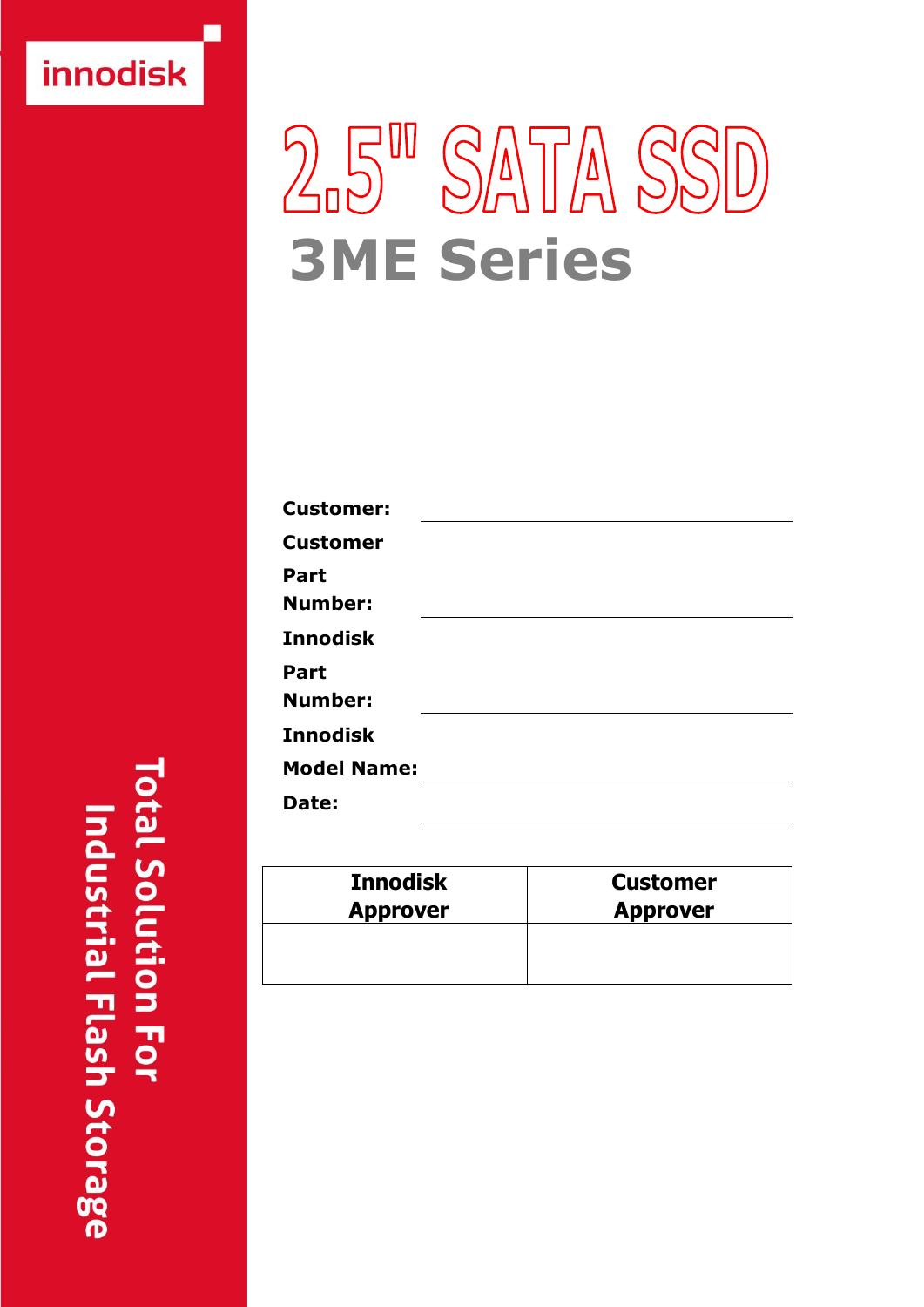# innodisk

# $25<sup>m</sup>$ SATA SSD **3ME Series**

| <b>Customer:</b>   |  |
|--------------------|--|
| <b>Customer</b>    |  |
| Part               |  |
| <b>Number:</b>     |  |
| <b>Innodisk</b>    |  |
| Part               |  |
| <b>Number:</b>     |  |
| <b>Innodisk</b>    |  |
| <b>Model Name:</b> |  |
| Date:              |  |

| <b>Innodisk</b> | <b>Customer</b> |
|-----------------|-----------------|
| <b>Approver</b> | <b>Approver</b> |
|                 |                 |

**Total Solution For** Industrial Flash Storage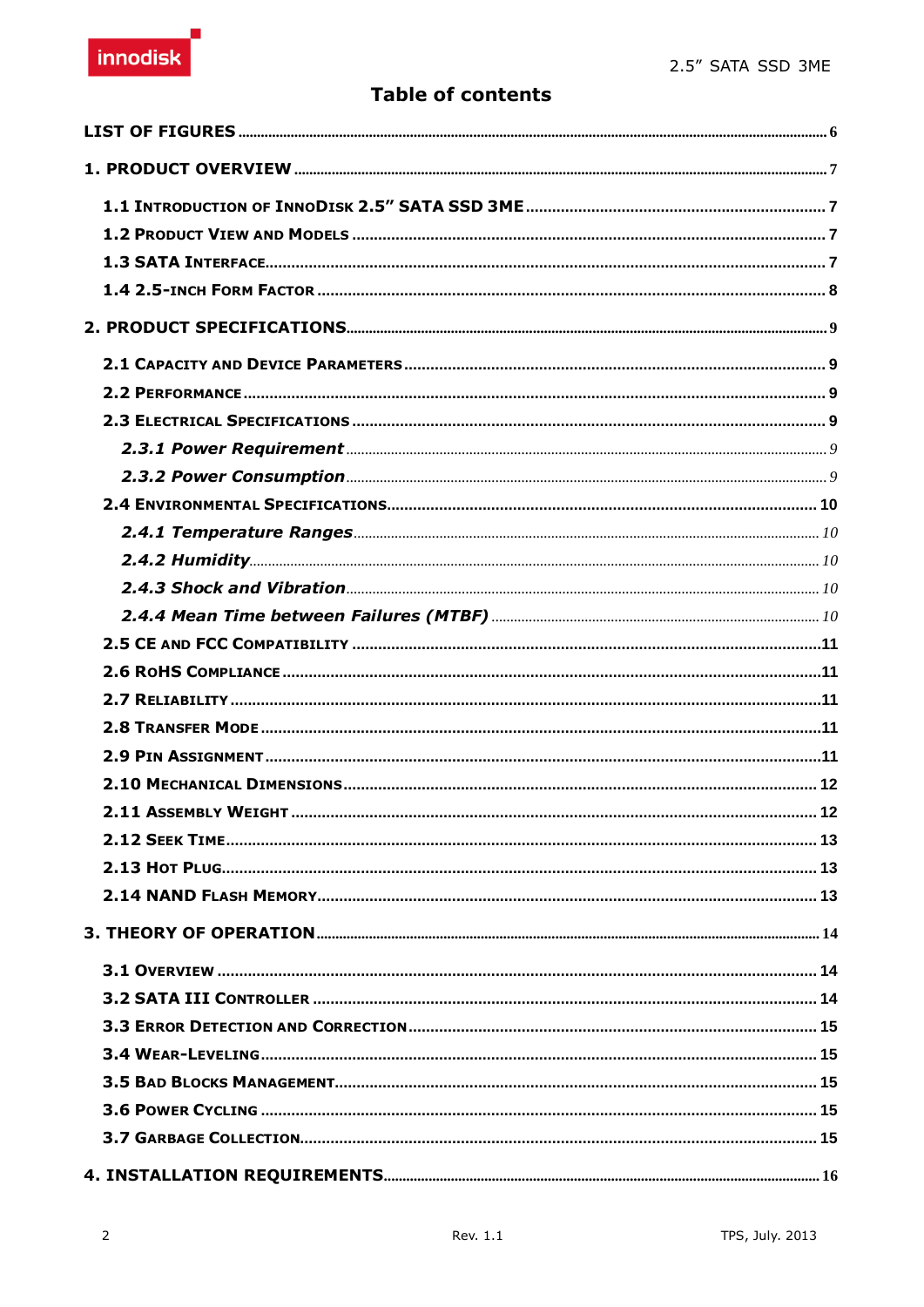# innodisk

## **Table of contents**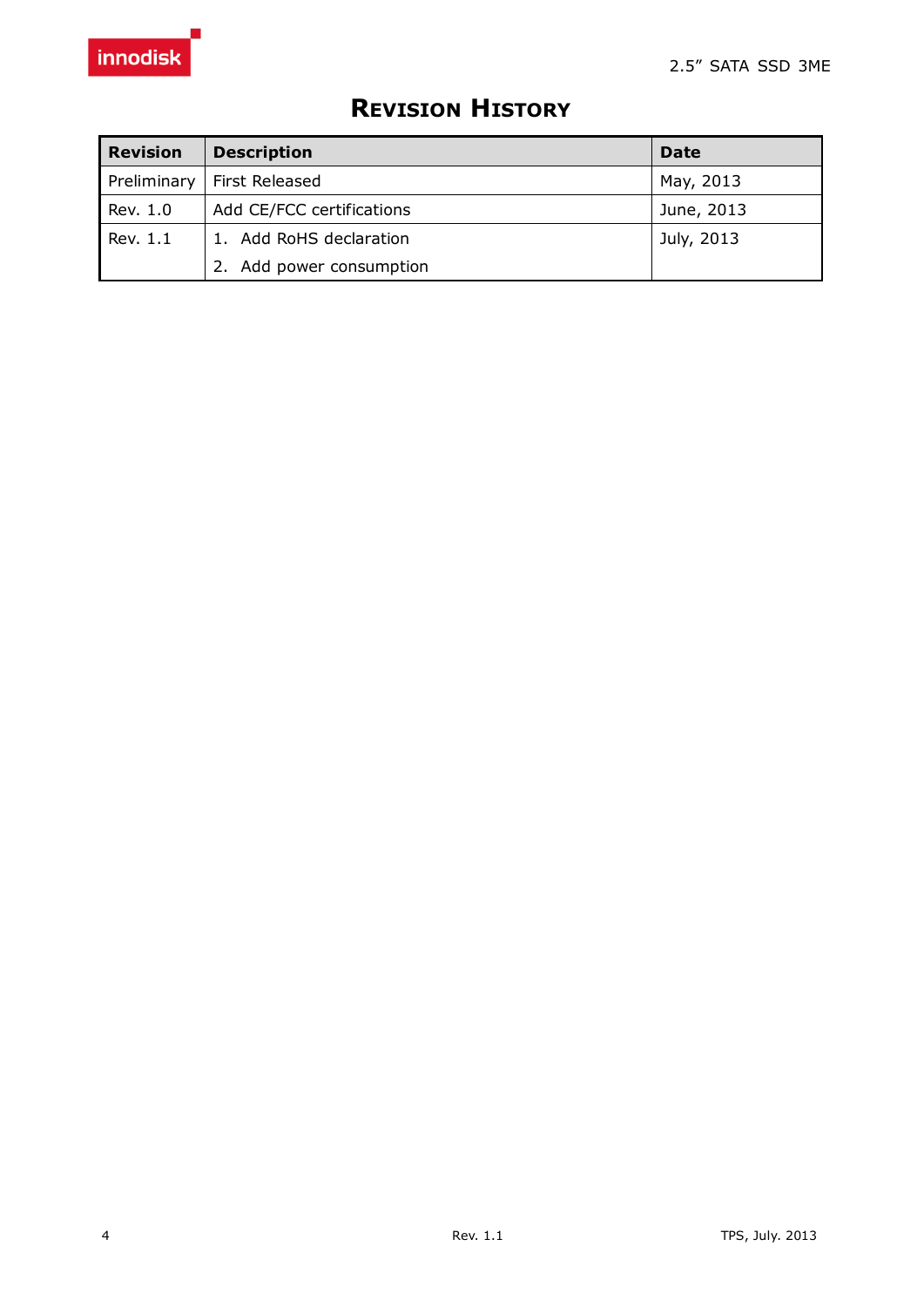| <b>Revision</b> | <b>Description</b>           | Date       |
|-----------------|------------------------------|------------|
|                 | Preliminary   First Released | May, 2013  |
| Rev. 1.0        | Add CE/FCC certifications    | June, 2013 |
| Rev. 1.1        | 1. Add RoHS declaration      | July, 2013 |
|                 | 2. Add power consumption     |            |

# **REVISION HISTORY**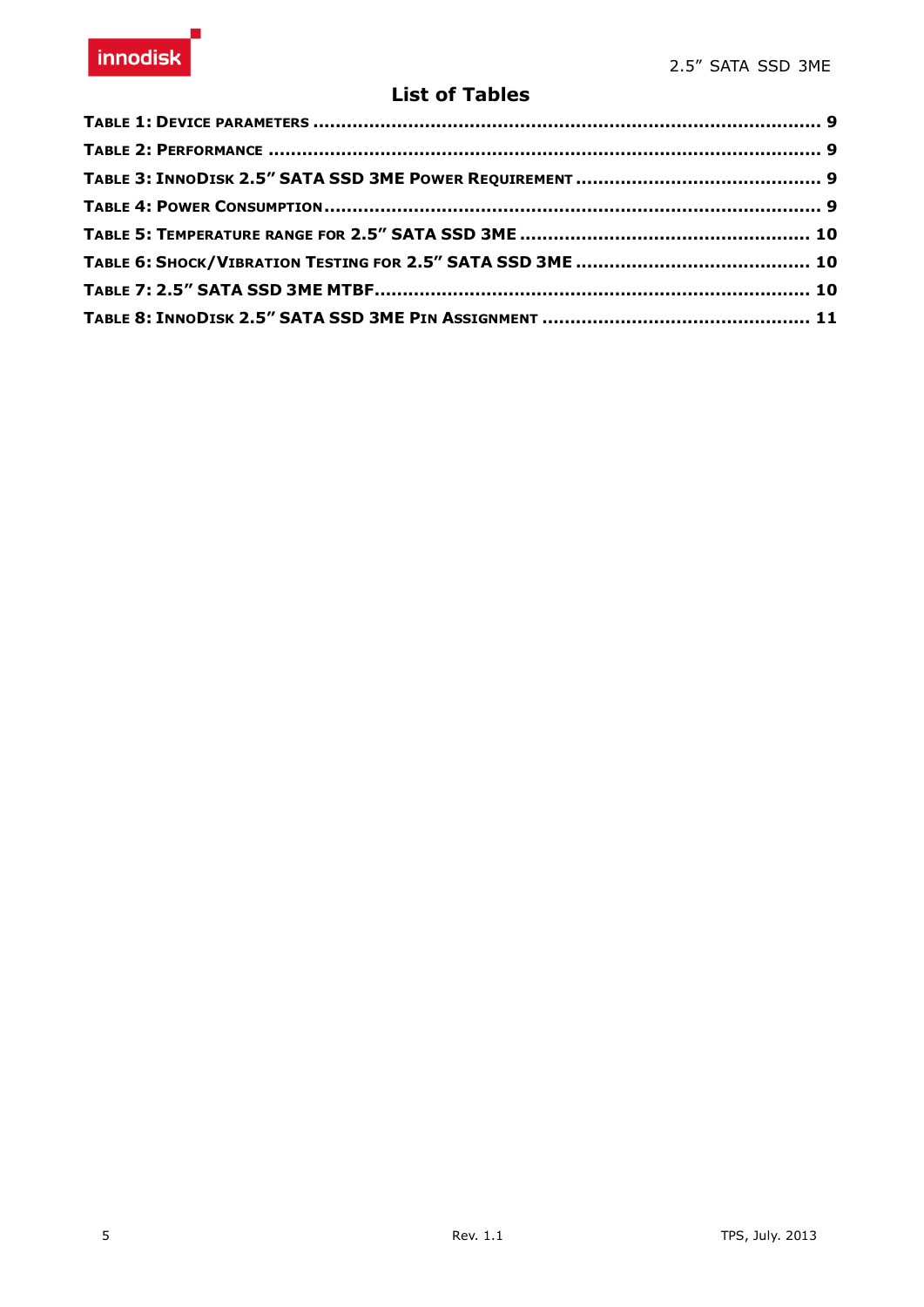### **List of Tables**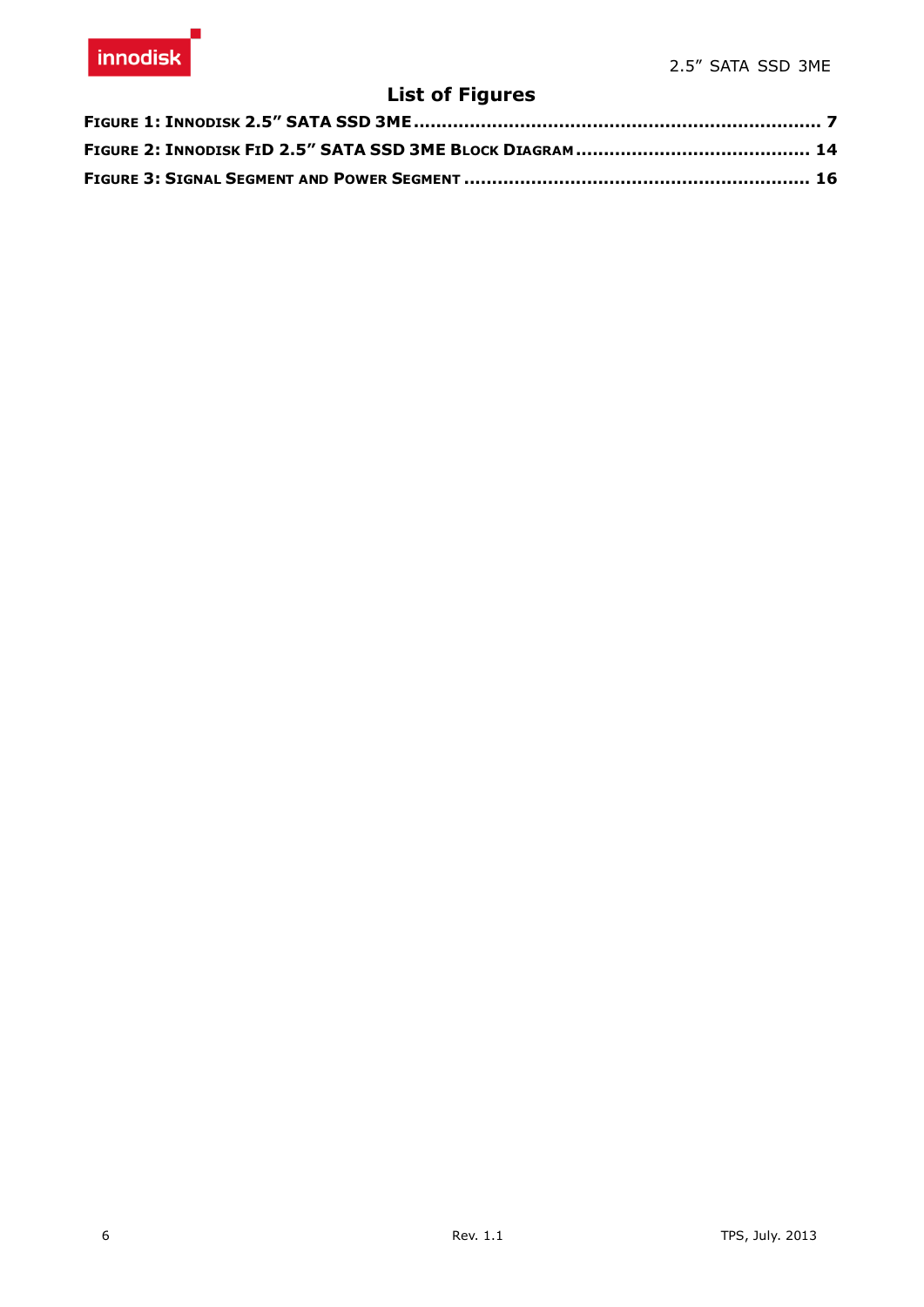# **List of Figures**

<span id="page-5-0"></span>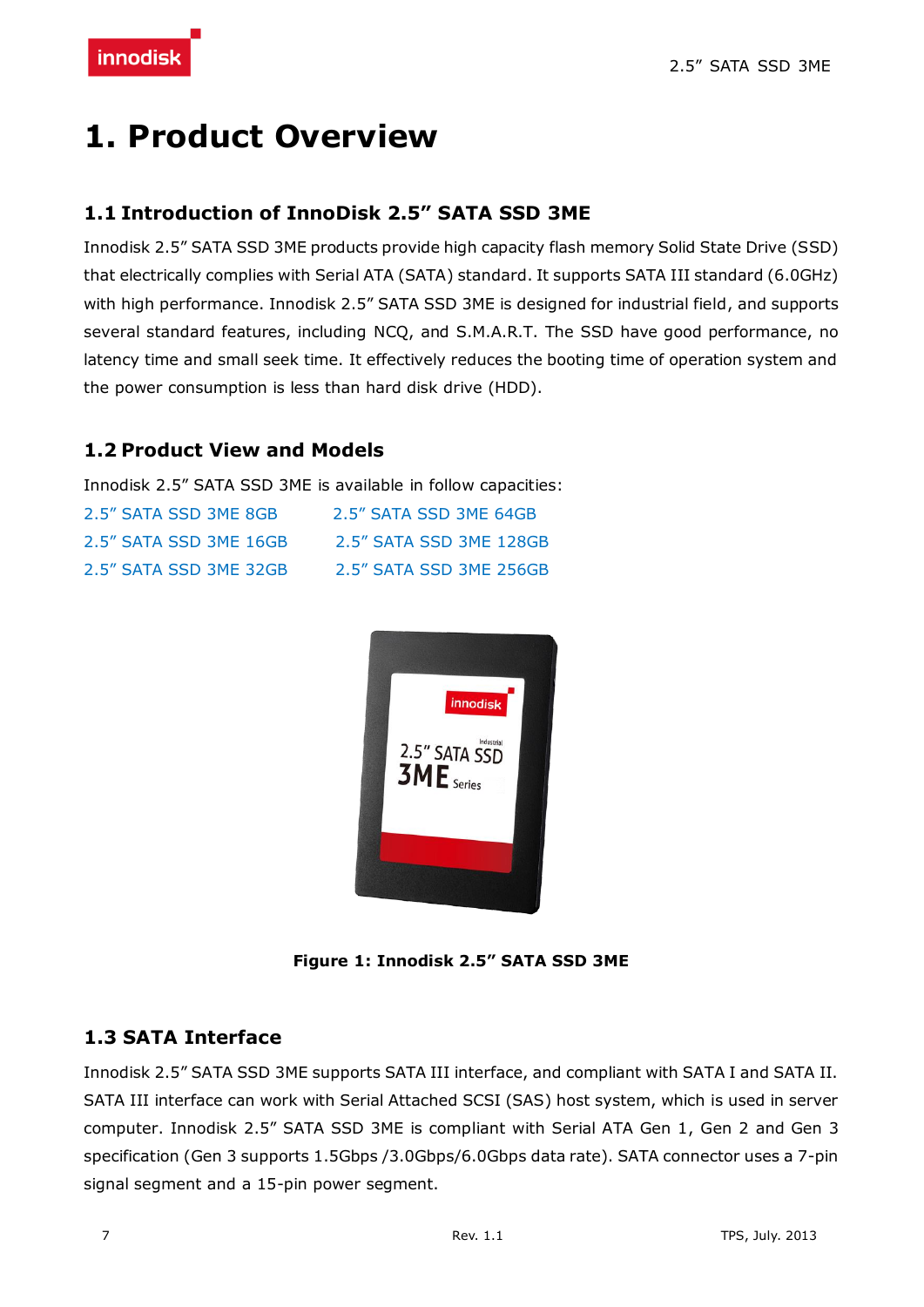# <span id="page-6-0"></span>**1. Product Overview**

#### <span id="page-6-1"></span>**1.1 Introduction of InnoDisk 2.5" SATA SSD 3ME**

Innodisk 2.5" SATA SSD 3ME products provide high capacity flash memory Solid State Drive (SSD) that electrically complies with Serial ATA (SATA) standard. It supports SATA III standard (6.0GHz) with high performance. Innodisk 2.5" SATA SSD 3ME is designed for industrial field, and supports several standard features, including NCQ, and S.M.A.R.T. The SSD have good performance, no latency time and small seek time. It effectively reduces the booting time of operation system and the power consumption is less than hard disk drive (HDD).

#### <span id="page-6-2"></span>**1.2 Product View and Models**

Innodisk 2.5" SATA SSD 3ME is available in follow capacities:

| 2.5" SATA SSD 3ME 8GB  | 2.5" SATA SSD 3MF 64GB  |
|------------------------|-------------------------|
| 2.5″ SATA SSD 3ME 16GB | 2.5" SATA SSD 3ME 128GB |
| 2.5" SATA SSD 3ME 32GB | 2.5" SATA SSD 3ME 256GB |



**Figure 1: Innodisk 2.5" SATA SSD 3ME**

#### <span id="page-6-4"></span><span id="page-6-3"></span>**1.3 SATA Interface**

Innodisk 2.5" SATA SSD 3ME supports SATA III interface, and compliant with SATA I and SATA II. SATA III interface can work with Serial Attached SCSI (SAS) host system, which is used in server computer. Innodisk 2.5" SATA SSD 3ME is compliant with Serial ATA Gen 1, Gen 2 and Gen 3 specification (Gen 3 supports 1.5Gbps /3.0Gbps/6.0Gbps data rate). SATA connector uses a 7-pin signal segment and a 15-pin power segment.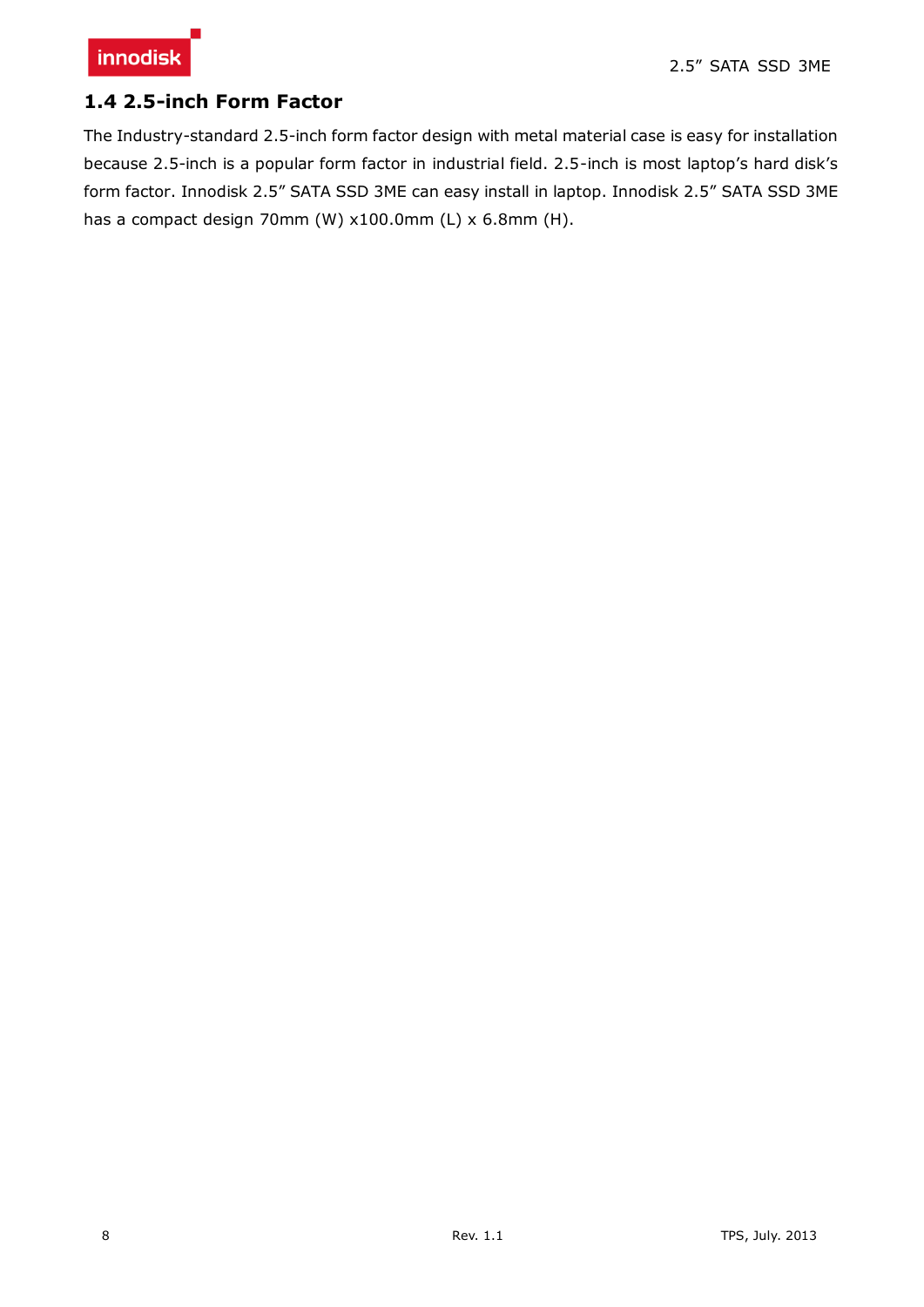

#### <span id="page-7-0"></span>**1.4 2.5-inch Form Factor**

The Industry-standard 2.5-inch form factor design with metal material case is easy for installation because 2.5-inch is a popular form factor in industrial field. 2.5-inch is most laptop's hard disk's form factor. Innodisk 2.5" SATA SSD 3ME can easy install in laptop. Innodisk 2.5" SATA SSD 3ME has a compact design 70mm (W) x100.0mm (L) x 6.8mm (H).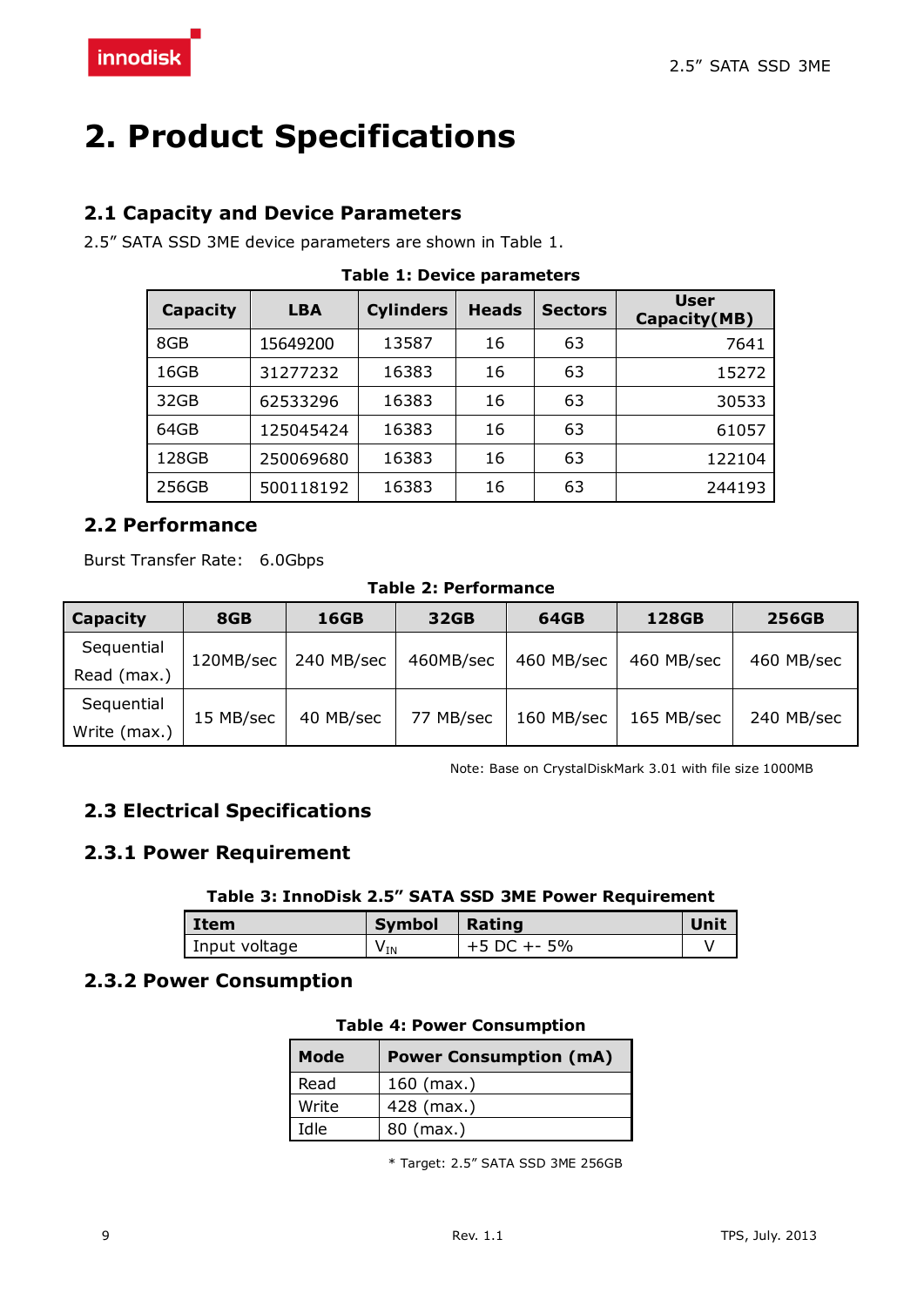# <span id="page-8-0"></span>**2. Product Specifications**

#### <span id="page-8-1"></span>**2.1 Capacity and Device Parameters**

<span id="page-8-6"></span>2.5" SATA SSD 3ME device parameters are shown in Table 1.

| Capacity | <b>LBA</b> | <b>Cylinders</b> | <b>Heads</b> | <b>Sectors</b> | <b>User</b><br>Capacity(MB) |
|----------|------------|------------------|--------------|----------------|-----------------------------|
| 8GB      | 15649200   | 13587            | 16           | 63             | 7641                        |
| 16GB     | 31277232   | 16383            | 16           | 63             | 15272                       |
| 32GB     | 62533296   | 16383            | 16           | 63             | 30533                       |
| 64GB     | 125045424  | 16383            | 16           | 63             | 61057                       |
| 128GB    | 250069680  | 16383            | 16           | 63             | 122104                      |
| 256GB    | 500118192  | 16383            | 16           | 63             | 244193                      |

#### **Table 1: Device parameters**

#### <span id="page-8-2"></span>**2.2 Performance**

<span id="page-8-7"></span>Burst Transfer Rate: 6.0Gbps

#### **Table 2: Performance**

| Capacity     | 8GB       | <b>16GB</b> | 32GB      | 64GB       | 128GB      | <b>256GB</b> |
|--------------|-----------|-------------|-----------|------------|------------|--------------|
| Sequential   | 120MB/sec | 240 MB/sec  | 460MB/sec | 460 MB/sec | 460 MB/sec | 460 MB/sec   |
| Read (max.)  |           |             |           |            |            |              |
| Sequential   |           |             |           |            |            |              |
| Write (max.) | 15 MB/sec | 40 MB/sec   | 77 MB/sec | 160 MB/sec | 165 MB/sec | 240 MB/sec   |

Note: Base on CrystalDiskMark 3.01 with file size 1000MB

### <span id="page-8-3"></span>**2.3 Electrical Specifications**

#### <span id="page-8-8"></span><span id="page-8-4"></span>**2.3.1 Power Requirement**

#### **Table 3: InnoDisk 2.5" SATA SSD 3ME Power Requirement**

| Item          | Symbol   | Rating        | Unit |
|---------------|----------|---------------|------|
| Input voltage | $V_{IN}$ | $+5$ DC +- 5% |      |

#### <span id="page-8-9"></span><span id="page-8-5"></span>**2.3.2 Power Consumption**

#### **Table 4: Power Consumption**

| <b>Mode</b> | <b>Power Consumption (mA)</b> |  |
|-------------|-------------------------------|--|
| Read        | $160$ (max.)                  |  |
| Write       | 428 (max.)                    |  |
| Idle        | $80$ (max.)                   |  |

\* Target: 2.5" SATA SSD 3ME 256GB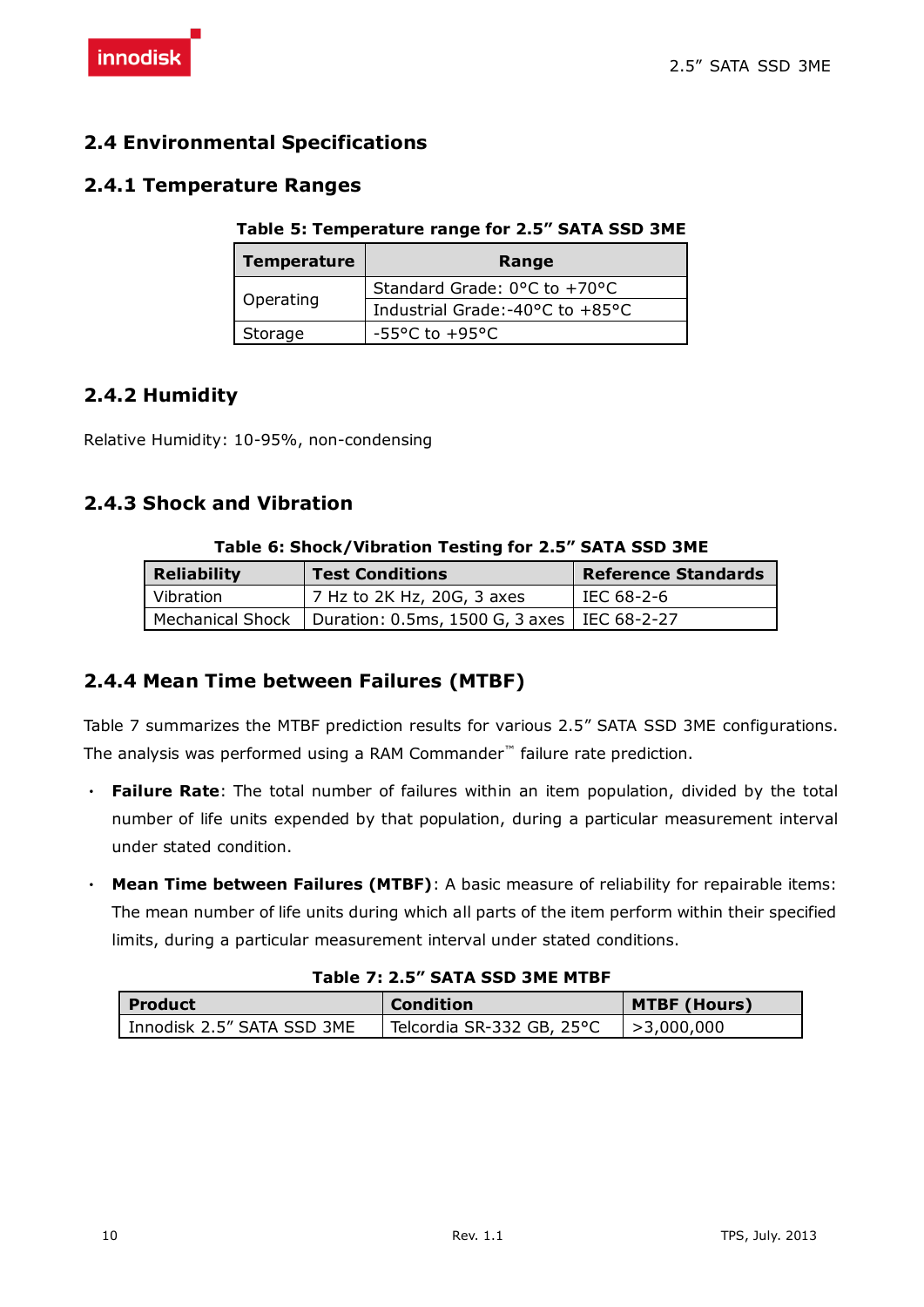#### <span id="page-9-0"></span>**2.4 Environmental Specifications**

#### <span id="page-9-5"></span><span id="page-9-1"></span>**2.4.1 Temperature Ranges**

#### **Table 5: Temperature range for 2.5" SATA SSD 3ME**

| <b>Temperature</b> | Range                                             |
|--------------------|---------------------------------------------------|
|                    | Standard Grade: $0^{\circ}$ C to +70 $^{\circ}$ C |
| Operating          | Industrial Grade:-40°C to +85°C                   |
| Storage            | $-55^{\circ}$ C to $+95^{\circ}$ C                |

#### <span id="page-9-2"></span>**2.4.2 Humidity**

Relative Humidity: 10-95%, non-condensing

#### <span id="page-9-6"></span><span id="page-9-3"></span>**2.4.3 Shock and Vibration**

|                    | $10000$ of shock) vibration resting for 213 SATA 555 SME         |                            |
|--------------------|------------------------------------------------------------------|----------------------------|
| <b>Reliability</b> | <b>Test Conditions</b>                                           | <b>Reference Standards</b> |
| Vibration          | 7 Hz to 2K Hz, 20G, 3 axes                                       | IEC 68-2-6                 |
|                    | Mechanical Shock   Duration: 0.5ms, 1500 G, 3 axes   IEC 68-2-27 |                            |

#### **Table 6: Shock/Vibration Testing for 2.5" SATA SSD 3ME**

#### <span id="page-9-4"></span>**2.4.4 Mean Time between Failures (MTBF)**

Table 7 summarizes the MTBF prediction results for various 2.5" SATA SSD 3ME configurations. The analysis was performed using a RAM Commander™ failure rate prediction.

- ‧ **Failure Rate**: The total number of failures within an item population, divided by the total number of life units expended by that population, during a particular measurement interval under stated condition.
- ‧ **Mean Time between Failures (MTBF)**: A basic measure of reliability for repairable items: The mean number of life units during which all parts of the item perform within their specified limits, during a particular measurement interval under stated conditions.

#### **Table 7: 2.5" SATA SSD 3ME MTBF**

<span id="page-9-7"></span>

| Product                    | <b>Condition</b>          | <b>MTBF (Hours)</b> |
|----------------------------|---------------------------|---------------------|
| Innodisk 2.5" SATA SSD 3ME | Telcordia SR-332 GB, 25°C | >3.000.000          |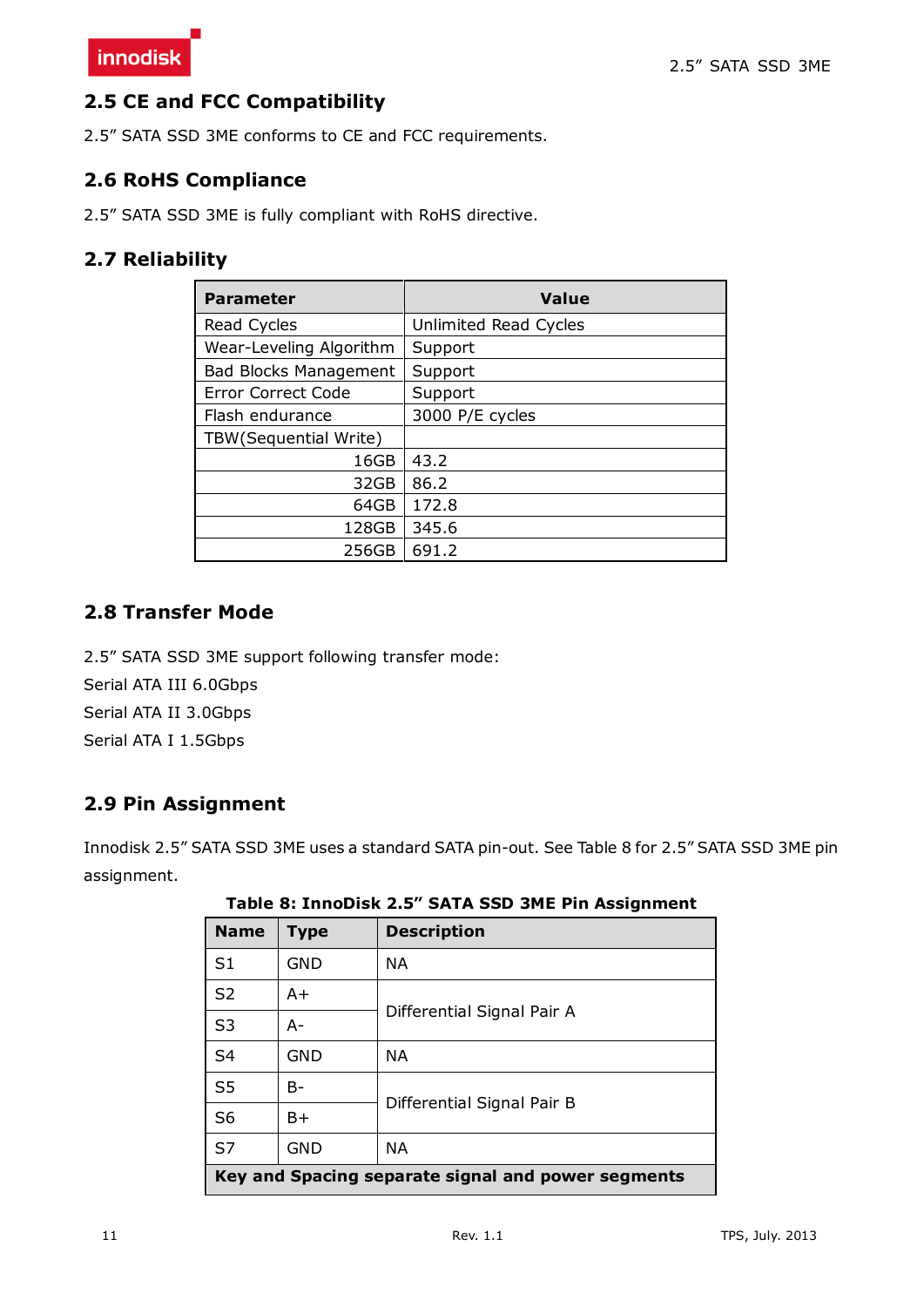#### <span id="page-10-0"></span>**2.5 CE and FCC Compatibility**

2.5" SATA SSD 3ME conforms to CE and FCC requirements.

#### <span id="page-10-1"></span>**2.6 RoHS Compliance**

2.5" SATA SSD 3ME is fully compliant with RoHS directive.

#### <span id="page-10-2"></span>**2.7 Reliability**

| <b>Parameter</b>             | <b>Value</b>          |
|------------------------------|-----------------------|
| Read Cycles                  | Unlimited Read Cycles |
| Wear-Leveling Algorithm      | Support               |
| <b>Bad Blocks Management</b> | Support               |
| Error Correct Code           | Support               |
| Flash endurance              | 3000 P/E cycles       |
| TBW (Sequential Write)       |                       |
| 16GB                         | 43.2                  |
| 32GB                         | 86.2                  |
| 64GB                         | 172.8                 |
| 128GB                        | 345.6                 |
| 256GB                        | 691.2                 |

#### <span id="page-10-3"></span>**2.8 Transfer Mode**

2.5" SATA SSD 3ME support following transfer mode:

Serial ATA III 6.0Gbps

Serial ATA II 3.0Gbps

<span id="page-10-4"></span>Serial ATA I 1.5Gbps

#### **2.9 Pin Assignment**

<span id="page-10-5"></span>Innodisk 2.5" SATA SSD 3ME uses a standard SATA pin-out. See Table 8 for 2.5" SATA SSD 3ME pin assignment.

| <b>Name</b>                                        | <b>Type</b> | <b>Description</b>         |  |  |  |  |
|----------------------------------------------------|-------------|----------------------------|--|--|--|--|
| S <sub>1</sub>                                     | <b>GND</b>  | <b>NA</b>                  |  |  |  |  |
| S <sub>2</sub>                                     | $A+$        |                            |  |  |  |  |
| S <sub>3</sub>                                     | $A -$       | Differential Signal Pair A |  |  |  |  |
| S <sub>4</sub>                                     | <b>GND</b>  | <b>NA</b>                  |  |  |  |  |
| S <sub>5</sub>                                     | $B -$       |                            |  |  |  |  |
| S <sub>6</sub>                                     | $B+$        | Differential Signal Pair B |  |  |  |  |
| S7                                                 | <b>GND</b>  | <b>NA</b>                  |  |  |  |  |
| Key and Spacing separate signal and power segments |             |                            |  |  |  |  |

**Table 8: InnoDisk 2.5" SATA SSD 3ME Pin Assignment**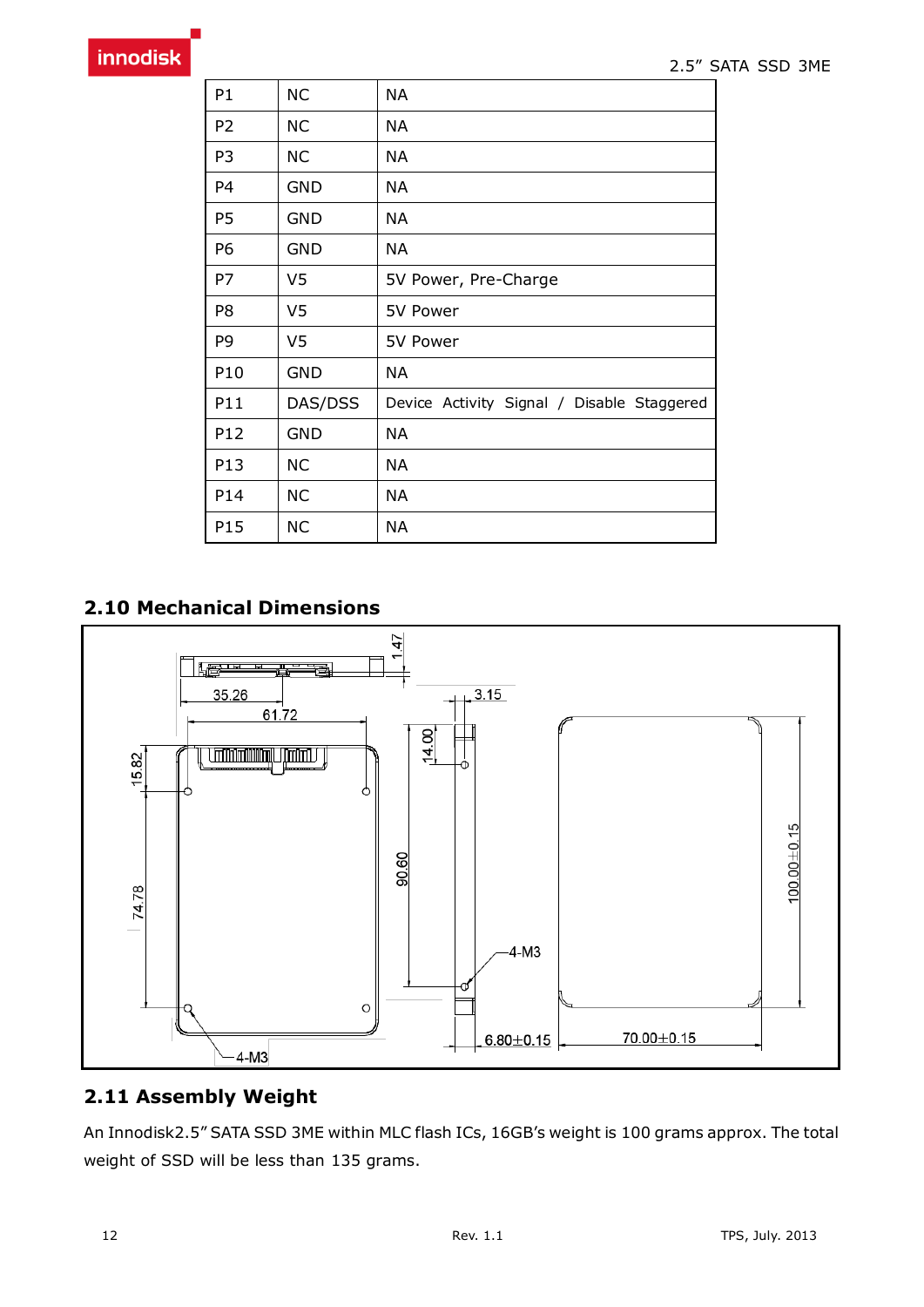| P1             | <b>NC</b>      | <b>NA</b>                                  |
|----------------|----------------|--------------------------------------------|
| P <sub>2</sub> | <b>NC</b>      | ΝA                                         |
| P <sub>3</sub> | <b>NC</b>      | <b>NA</b>                                  |
| P <sub>4</sub> | <b>GND</b>     | ΝA                                         |
| P <sub>5</sub> | <b>GND</b>     | ΝA                                         |
| P6             | <b>GND</b>     | ΝA                                         |
| P7             | V5             | 5V Power, Pre-Charge                       |
| P8             | V <sub>5</sub> | 5V Power                                   |
| P9             | V5             | 5V Power                                   |
| P10            | <b>GND</b>     | <b>NA</b>                                  |
| P11            | DAS/DSS        | Device Activity Signal / Disable Staggered |
| P12            | <b>GND</b>     | <b>NA</b>                                  |
| P13            | <b>NC</b>      | <b>NA</b>                                  |
| P14            | <b>NC</b>      | <b>NA</b>                                  |
| P15            | <b>NC</b>      | <b>NA</b>                                  |

### <span id="page-11-0"></span>**2.10 Mechanical Dimensions**



### <span id="page-11-1"></span>**2.11 Assembly Weight**

An Innodisk2.5" SATA SSD 3ME within MLC flash ICs, 16GB's weight is 100 grams approx. The total weight of SSD will be less than 135 grams.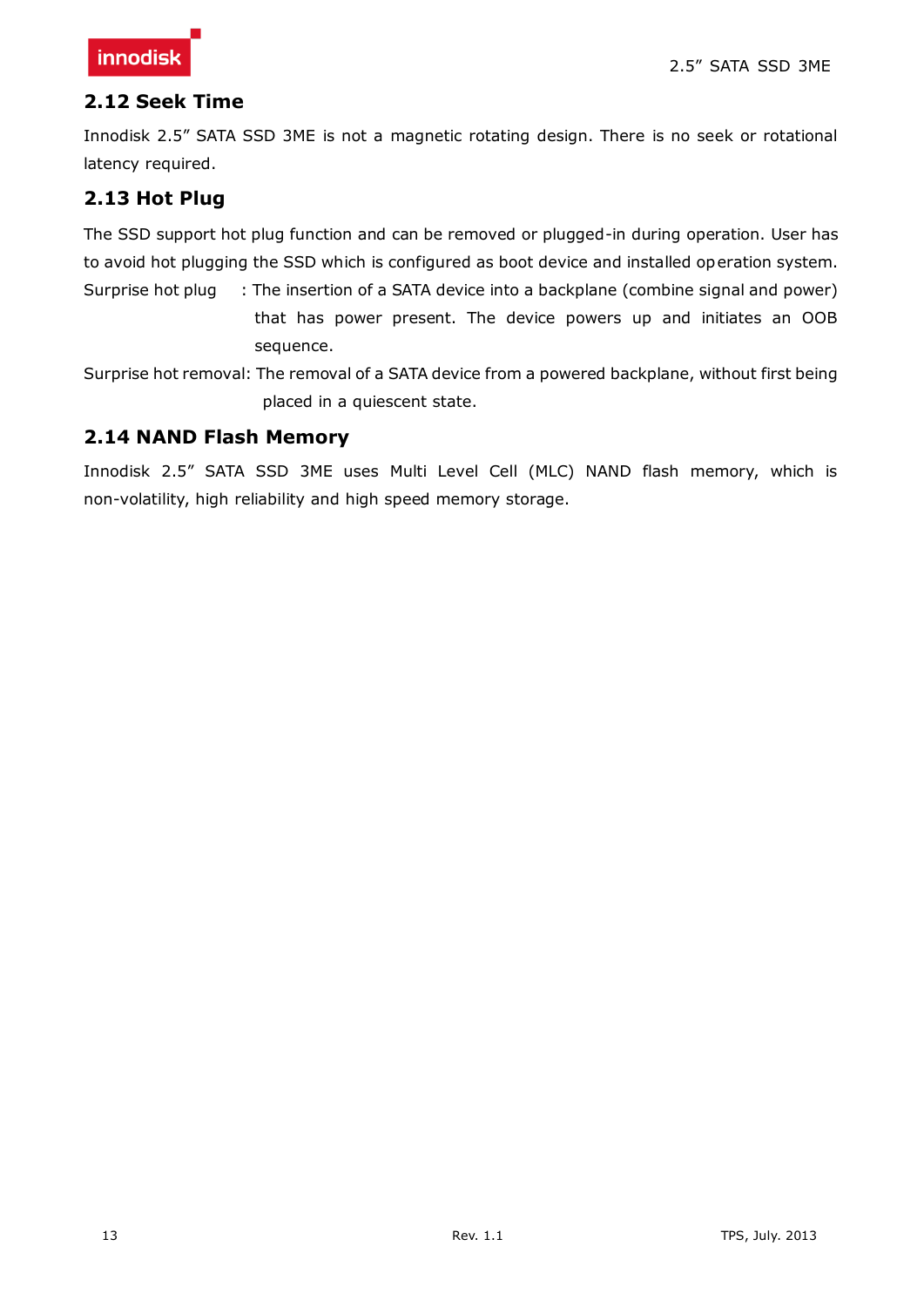#### <span id="page-12-0"></span>**2.12 Seek Time**

Innodisk 2.5" SATA SSD 3ME is not a magnetic rotating design. There is no seek or rotational latency required.

#### <span id="page-12-1"></span>**2.13 Hot Plug**

The SSD support hot plug function and can be removed or plugged-in during operation. User has to avoid hot plugging the SSD which is configured as boot device and installed operation system.

Surprise hot plug : The insertion of a SATA device into a backplane (combine signal and power) that has power present. The device powers up and initiates an OOB sequence.

Surprise hot removal: The removal of a SATA device from a powered backplane, without first being placed in a quiescent state.

#### <span id="page-12-2"></span>**2.14 NAND Flash Memory**

Innodisk 2.5" SATA SSD 3ME uses Multi Level Cell (MLC) NAND flash memory, which is non-volatility, high reliability and high speed memory storage.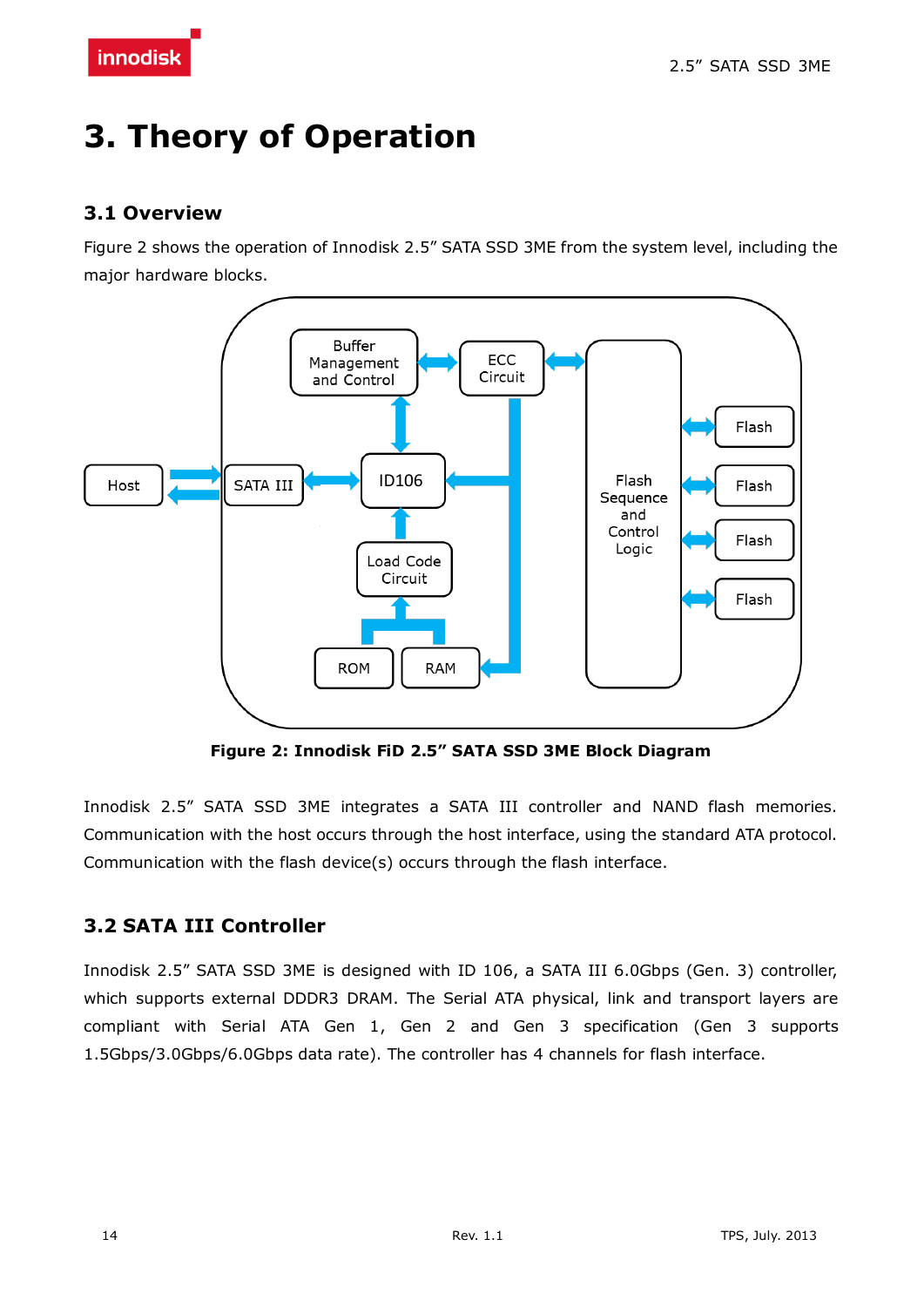# <span id="page-13-0"></span>**3. Theory of Operation**

#### <span id="page-13-1"></span>**3.1 Overview**

Figure 2 shows the operation of Innodisk 2.5" SATA SSD 3ME from the system level, including the major hardware blocks.



**Figure 2: Innodisk FiD 2.5" SATA SSD 3ME Block Diagram**

<span id="page-13-3"></span>Innodisk 2.5" SATA SSD 3ME integrates a SATA III controller and NAND flash memories. Communication with the host occurs through the host interface, using the standard ATA protocol. Communication with the flash device(s) occurs through the flash interface.

### <span id="page-13-2"></span>**3.2 SATA III Controller**

Innodisk 2.5" SATA SSD 3ME is designed with ID 106, a SATA III 6.0Gbps (Gen. 3) controller, which supports external DDDR3 DRAM. The Serial ATA physical, link and transport layers are compliant with Serial ATA Gen 1, Gen 2 and Gen 3 specification (Gen 3 supports 1.5Gbps/3.0Gbps/6.0Gbps data rate). The controller has 4 channels for flash interface.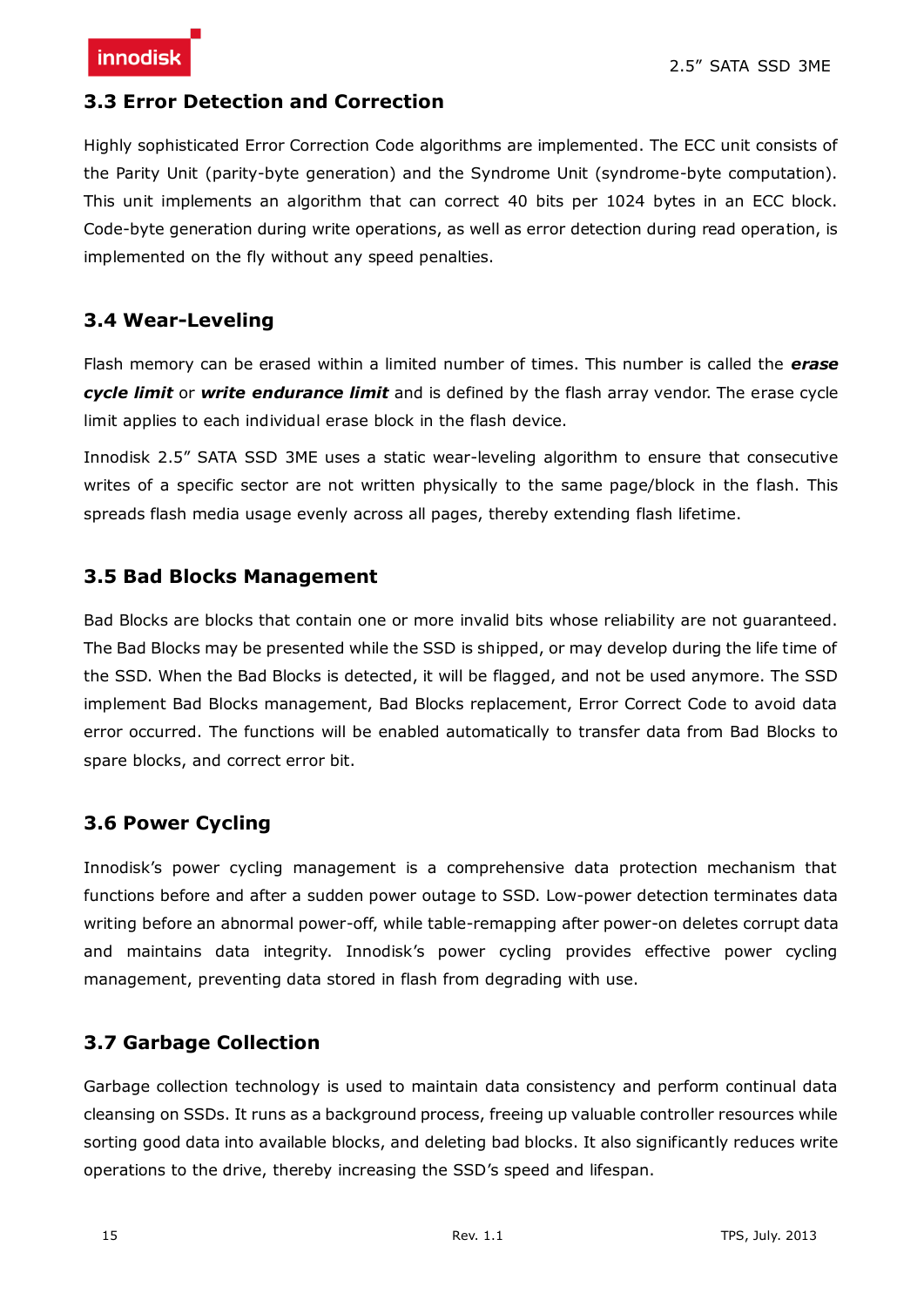#### <span id="page-14-0"></span>**3.3 Error Detection and Correction**

Highly sophisticated Error Correction Code algorithms are implemented. The ECC unit consists of the Parity Unit (parity-byte generation) and the Syndrome Unit (syndrome-byte computation). This unit implements an algorithm that can correct 40 bits per 1024 bytes in an ECC block. Code-byte generation during write operations, as well as error detection during read operation, is implemented on the fly without any speed penalties.

#### <span id="page-14-1"></span>**3.4 Wear-Leveling**

Flash memory can be erased within a limited number of times. This number is called the *erase cycle limit* or *write endurance limit* and is defined by the flash array vendor. The erase cycle limit applies to each individual erase block in the flash device.

Innodisk 2.5" SATA SSD 3ME uses a static wear-leveling algorithm to ensure that consecutive writes of a specific sector are not written physically to the same page/block in the flash. This spreads flash media usage evenly across all pages, thereby extending flash lifetime.

#### <span id="page-14-2"></span>**3.5 Bad Blocks Management**

Bad Blocks are blocks that contain one or more invalid bits whose reliability are not guaranteed. The Bad Blocks may be presented while the SSD is shipped, or may develop during the life time of the SSD. When the Bad Blocks is detected, it will be flagged, and not be used anymore. The SSD implement Bad Blocks management, Bad Blocks replacement, Error Correct Code to avoid data error occurred. The functions will be enabled automatically to transfer data from Bad Blocks to spare blocks, and correct error bit.

#### <span id="page-14-3"></span>**3.6 Power Cycling**

Innodisk's power cycling management is a comprehensive data protection mechanism that functions before and after a sudden power outage to SSD. Low-power detection terminates data writing before an abnormal power-off, while table-remapping after power-on deletes corrupt data and maintains data integrity. Innodisk's power cycling provides effective power cycling management, preventing data stored in flash from degrading with use.

#### <span id="page-14-4"></span>**3.7 Garbage Collection**

Garbage collection technology is used to maintain data consistency and perform continual data cleansing on SSDs. It runs as a background process, freeing up valuable controller resources while sorting good data into available blocks, and deleting bad blocks. It also significantly reduces write operations to the drive, thereby increasing the SSD's speed and lifespan.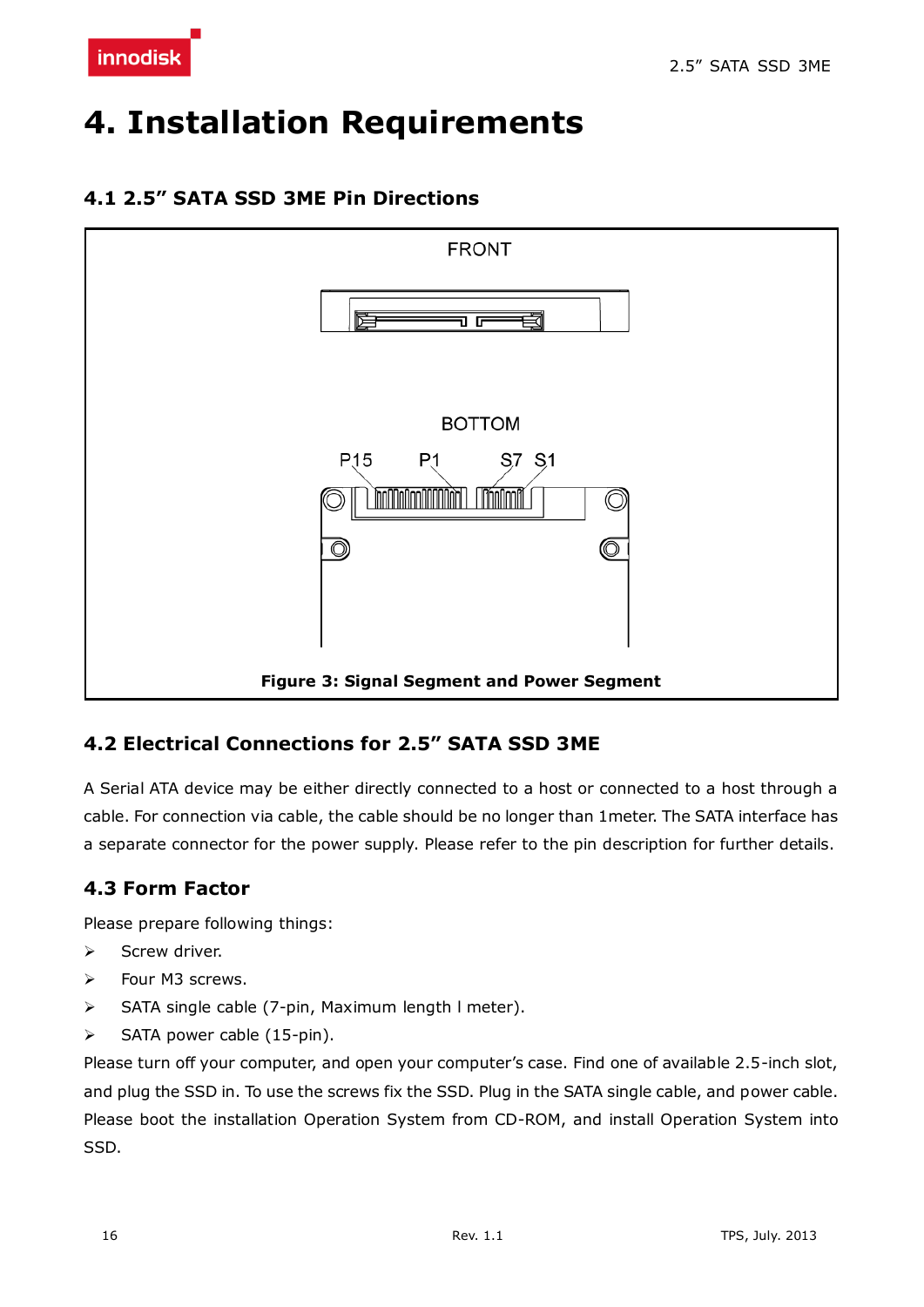

# <span id="page-15-0"></span>**4. Installation Requirements**

#### <span id="page-15-1"></span>**4.1 2.5" SATA SSD 3ME Pin Directions**



#### <span id="page-15-4"></span><span id="page-15-2"></span>**4.2 Electrical Connections for 2.5" SATA SSD 3ME**

A Serial ATA device may be either directly connected to a host or connected to a host through a cable. For connection via cable, the cable should be no longer than 1meter. The SATA interface has a separate connector for the power supply. Please refer to the pin description for further details.

#### <span id="page-15-3"></span>**4.3 Form Factor**

Please prepare following things:

- $\triangleright$  Screw driver.
- > Four M3 screws.
- > SATA single cable (7-pin, Maximum length I meter).
- $\triangleright$  SATA power cable (15-pin).

Please turn off your computer, and open your computer's case. Find one of available 2.5-inch slot, and plug the SSD in. To use the screws fix the SSD. Plug in the SATA single cable, and power cable. Please boot the installation Operation System from CD-ROM, and install Operation System into SSD.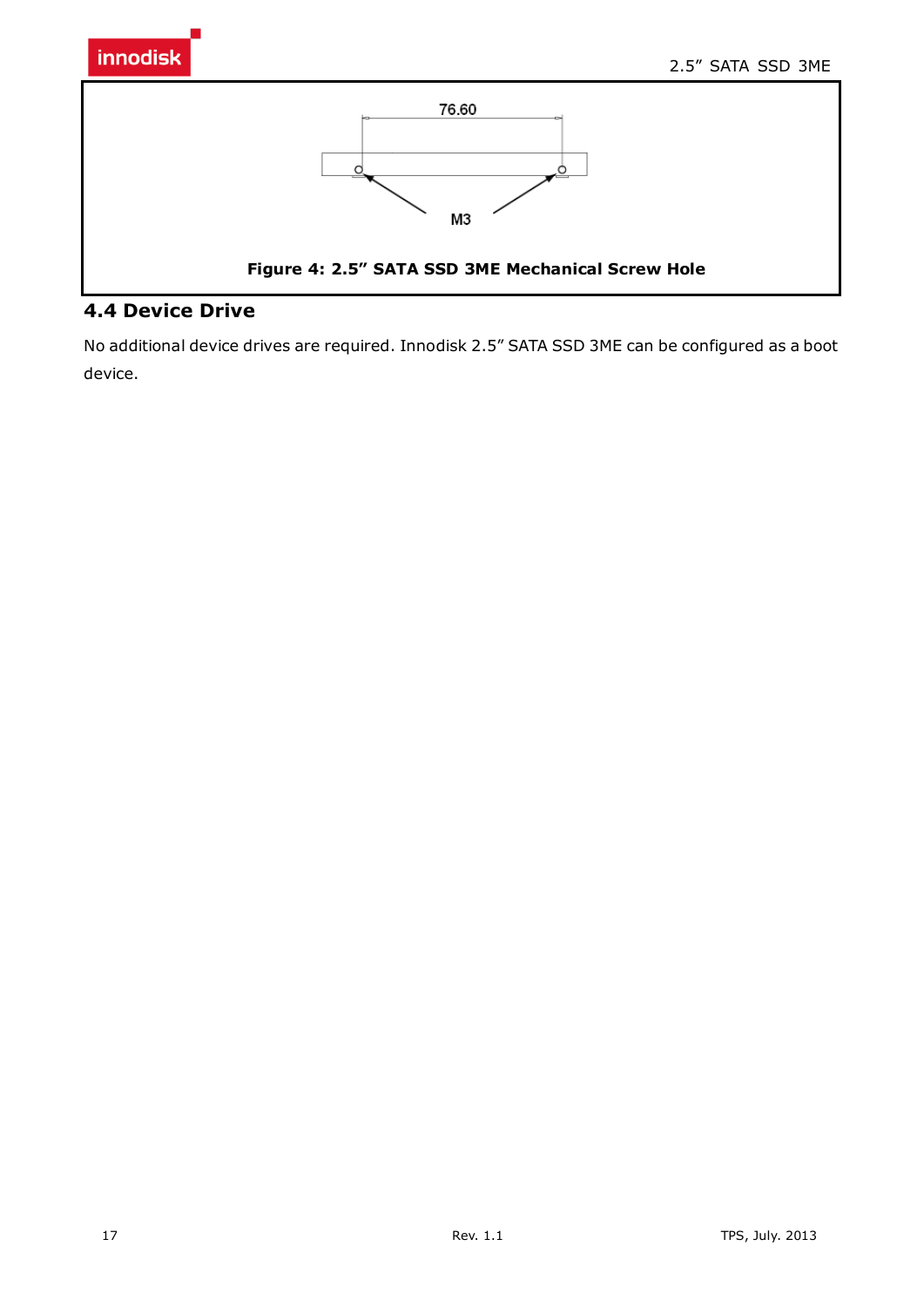

#### <span id="page-16-0"></span>**4.4 Device Drive**

No additional device drives are required. Innodisk 2.5" SATA SSD 3ME can be configured as a boot device.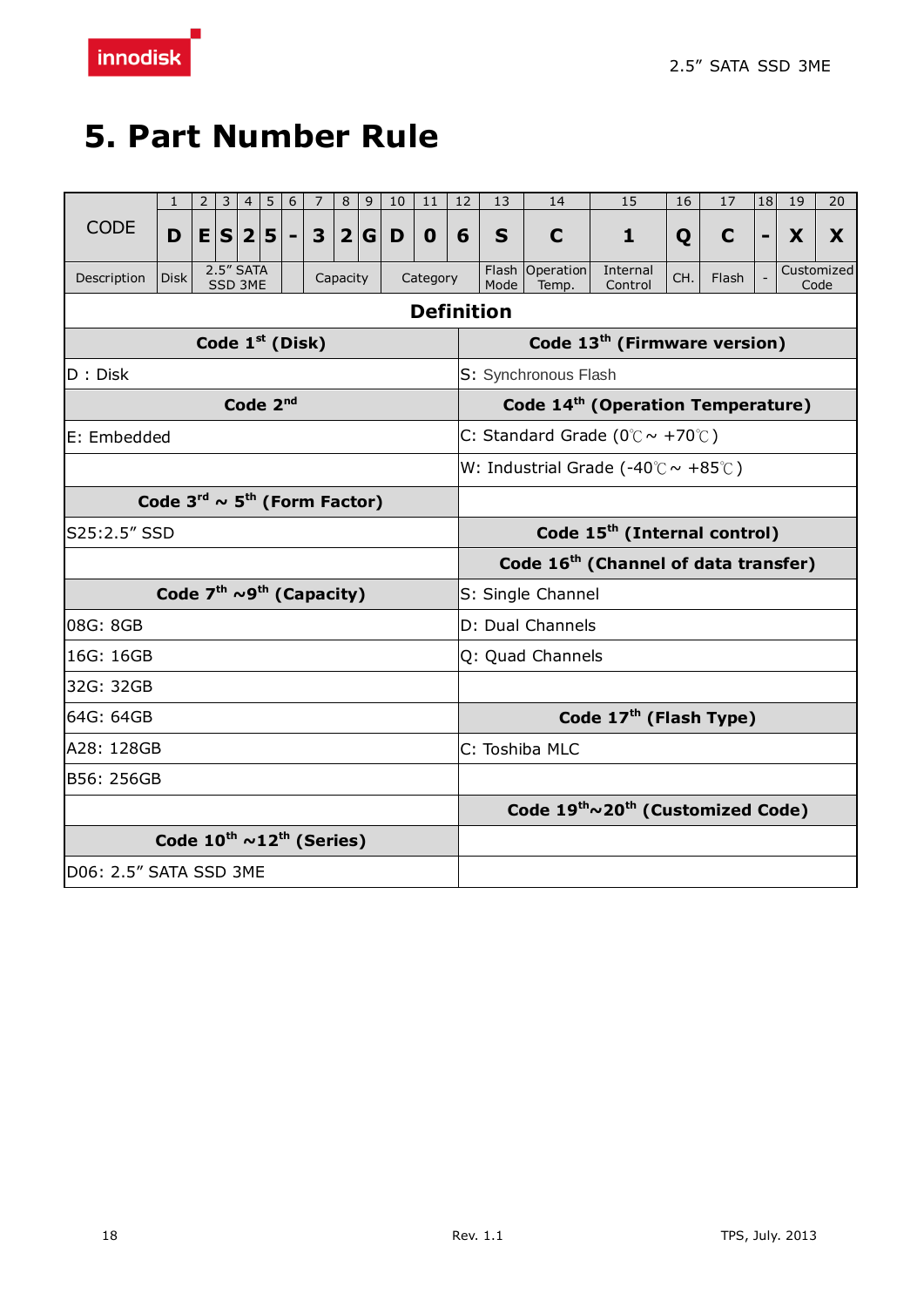# <span id="page-17-0"></span>**5. Part Number Rule**

|                        | 1                                                     | $\mathbf{2}$ | 3                    | 4                    | 5 | 6 | 7 | 8        | 9              | 10 | 11                                       | 12                   | 13                                            | 14                       | 15                                                        | 16  | 17          | 18 | 19 | 20                 |
|------------------------|-------------------------------------------------------|--------------|----------------------|----------------------|---|---|---|----------|----------------|----|------------------------------------------|----------------------|-----------------------------------------------|--------------------------|-----------------------------------------------------------|-----|-------------|----|----|--------------------|
| <b>CODE</b>            | D                                                     |              | E S 2 5              |                      |   |   | 3 |          | 2 G            | D  | $\mathbf 0$                              | 6                    | S                                             | C                        | 1                                                         | Q   | $\mathbf C$ |    | X  | X                  |
| Description            | <b>Disk</b>                                           |              | 2.5" SATA<br>SSD 3ME |                      |   |   |   | Capacity |                |    | Category                                 |                      | Mode                                          | Flash Operation<br>Temp. | Internal<br>Control                                       | CH. | Flash       |    |    | Customized<br>Code |
| <b>Definition</b>      |                                                       |              |                      |                      |   |   |   |          |                |    |                                          |                      |                                               |                          |                                                           |     |             |    |    |                    |
| Code $1st$ (Disk)      |                                                       |              |                      |                      |   |   |   |          |                |    | Code 13 <sup>th</sup> (Firmware version) |                      |                                               |                          |                                                           |     |             |    |    |                    |
| D: Disk                |                                                       |              |                      |                      |   |   |   |          |                |    |                                          | S: Synchronous Flash |                                               |                          |                                                           |     |             |    |    |                    |
|                        |                                                       |              |                      | Code 2 <sup>nd</sup> |   |   |   |          |                |    |                                          |                      | Code 14 <sup>th</sup> (Operation Temperature) |                          |                                                           |     |             |    |    |                    |
| E: Embedded            |                                                       |              |                      |                      |   |   |   |          |                |    |                                          |                      |                                               |                          | C: Standard Grade ( $0^{\circ}$ C ~ +70 $^{\circ}$ C)     |     |             |    |    |                    |
|                        |                                                       |              |                      |                      |   |   |   |          |                |    |                                          |                      |                                               |                          | W: Industrial Grade (-40 $\degree$ C ~ +85 $\degree$ C)   |     |             |    |    |                    |
|                        | Code $3^{\text{rd}} \sim 5^{\text{th}}$ (Form Factor) |              |                      |                      |   |   |   |          |                |    |                                          |                      |                                               |                          |                                                           |     |             |    |    |                    |
| S25:2.5" SSD           |                                                       |              |                      |                      |   |   |   |          |                |    |                                          |                      | Code 15 <sup>th</sup> (Internal control)      |                          |                                                           |     |             |    |    |                    |
|                        |                                                       |              |                      |                      |   |   |   |          |                |    |                                          |                      |                                               |                          | Code 16 <sup>th</sup> (Channel of data transfer)          |     |             |    |    |                    |
|                        | Code $7th \sim 9th$ (Capacity)                        |              |                      |                      |   |   |   |          |                |    |                                          |                      | S: Single Channel                             |                          |                                                           |     |             |    |    |                    |
| 08G: 8GB               |                                                       |              |                      |                      |   |   |   |          |                |    |                                          |                      | D: Dual Channels                              |                          |                                                           |     |             |    |    |                    |
| 16G: 16GB              |                                                       |              |                      |                      |   |   |   |          |                |    |                                          |                      | Q: Quad Channels                              |                          |                                                           |     |             |    |    |                    |
| 32G: 32GB              |                                                       |              |                      |                      |   |   |   |          |                |    |                                          |                      |                                               |                          |                                                           |     |             |    |    |                    |
| 64G: 64GB              |                                                       |              |                      |                      |   |   |   |          |                |    |                                          |                      |                                               |                          | Code $17th$ (Flash Type)                                  |     |             |    |    |                    |
| A28: 128GB             |                                                       |              |                      |                      |   |   |   |          | C: Toshiba MLC |    |                                          |                      |                                               |                          |                                                           |     |             |    |    |                    |
| B56: 256GB             |                                                       |              |                      |                      |   |   |   |          |                |    |                                          |                      |                                               |                          |                                                           |     |             |    |    |                    |
|                        |                                                       |              |                      |                      |   |   |   |          |                |    |                                          |                      |                                               |                          | Code 19 <sup>th</sup> ~20 <sup>th</sup> (Customized Code) |     |             |    |    |                    |
|                        | Code $10^{th}$ ~12 <sup>th</sup> (Series)             |              |                      |                      |   |   |   |          |                |    |                                          |                      |                                               |                          |                                                           |     |             |    |    |                    |
| D06: 2.5" SATA SSD 3ME |                                                       |              |                      |                      |   |   |   |          |                |    |                                          |                      |                                               |                          |                                                           |     |             |    |    |                    |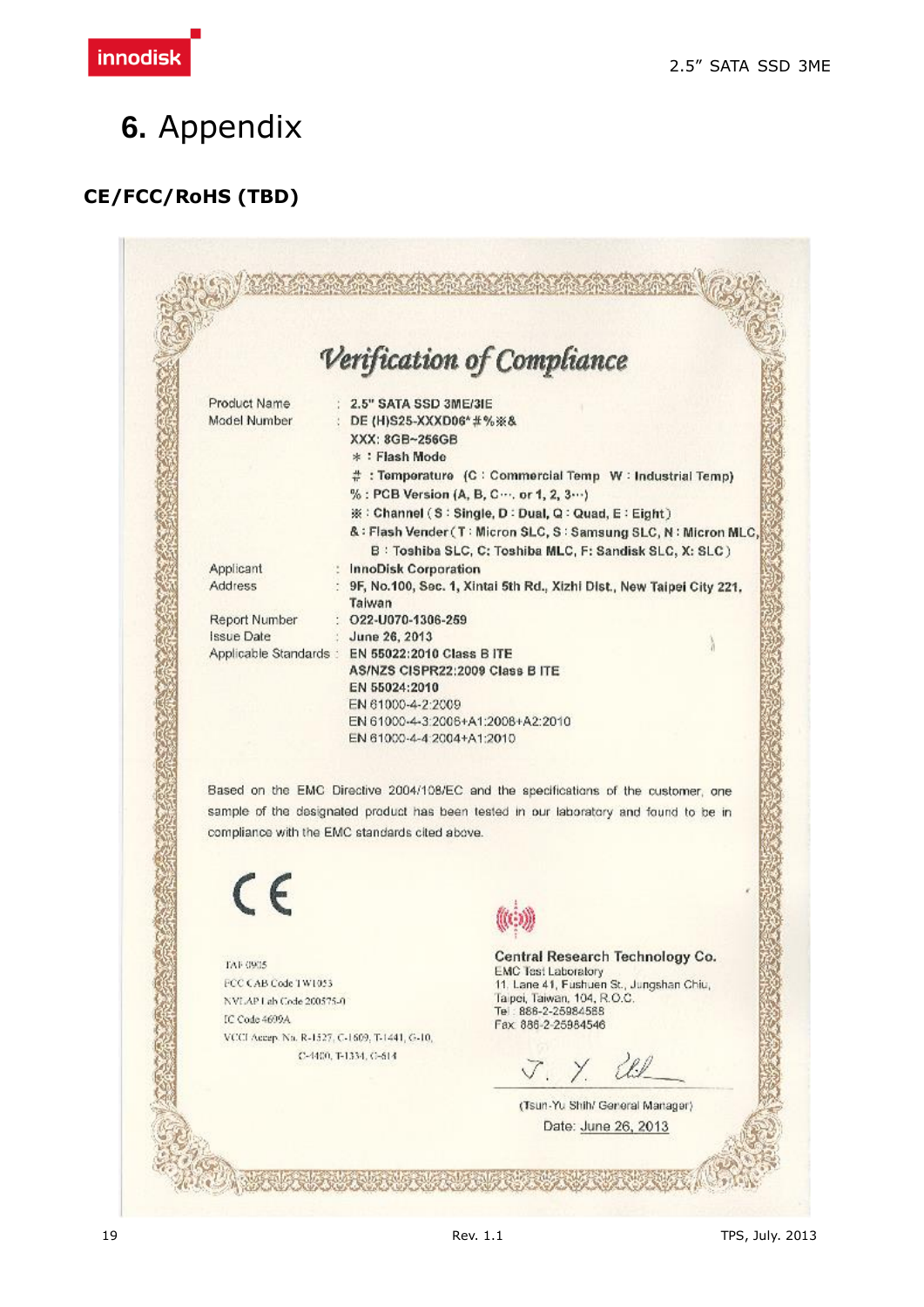<span id="page-18-0"></span>

# **CE/FCC/RoHS (TBD)**

|                                                                                        |                                                                                                      | Verification of Compliance                                                                                                                                                                                                    |
|----------------------------------------------------------------------------------------|------------------------------------------------------------------------------------------------------|-------------------------------------------------------------------------------------------------------------------------------------------------------------------------------------------------------------------------------|
| Product Name<br>Model Number                                                           | $2.5"$ SATA SSD 3ME/3IE<br>: DE (H)S25-XXXD06*#%※&<br>XXX: 8GB~256GB<br>* : Flash Mode               | # : Temperature (C : Commercial Temp W : Industrial Temp)<br>% : PCB Version (A, B, C , or 1, 2, 3  )<br>※: Channel (S: Single, D: Dual, Q: Quad, E: Eight)<br>&: Flash Vender (T: Micron SLC, S: Samsung SLC, N: Micron MLC, |
| Applicant<br>Address                                                                   | <b>InnoDisk Corporation</b>                                                                          | B: Toshiba SLC, C: Toshiba MLC, F: Sandisk SLC, X: SLC)<br>9F, No.100, Sec. 1, Xintai 5th Rd., Xizhi Dist., New Taipei City 221,                                                                                              |
| Report Number<br><b>Issue Date</b><br>Applicable Standards : EN 55022:2010 Class B ITE | Taiwan<br>$22-1070-1306-259$<br>June 26, 2013<br>AS/NZS CISPR22:2009 Class B ITE                     |                                                                                                                                                                                                                               |
|                                                                                        | EN 55024:2010<br>EN 61000-4-2:2009<br>EN 61000-4-3:2006+A1:2008+A2:2010<br>EN 61000-4-4:2004+A1:2010 | Based on the EMC Directive 2004/108/EC and the specifications of the customer, one                                                                                                                                            |
| compliance with the EMC standards cited above.                                         |                                                                                                      | sample of the designated product has been tested in our laboratory and found to be in                                                                                                                                         |
| $\epsilon$                                                                             |                                                                                                      |                                                                                                                                                                                                                               |
| TAF 0905<br>FCC CAB Code TW1053<br>NVLAP Lab Code 200575-0<br>IC Code 4699A            |                                                                                                      | Central Research Technology Co.<br><b>EMC Test Laboratory</b><br>11. Lane 41, Fushuen St., Jungshan Chiu,<br>Taipei, Taiwan, 104, R.O.C.<br>Te: 886-2-25984568<br>Fax 886-2-25984546                                          |
| VCCI Accep. No. R-1527, C-1609, T-1441, G-10,                                          | C-4400, T-1334, G-614                                                                                | VY                                                                                                                                                                                                                            |
|                                                                                        |                                                                                                      | (Tsun-Yu Shih/ General Manager)<br>Date: June 26, 2013                                                                                                                                                                        |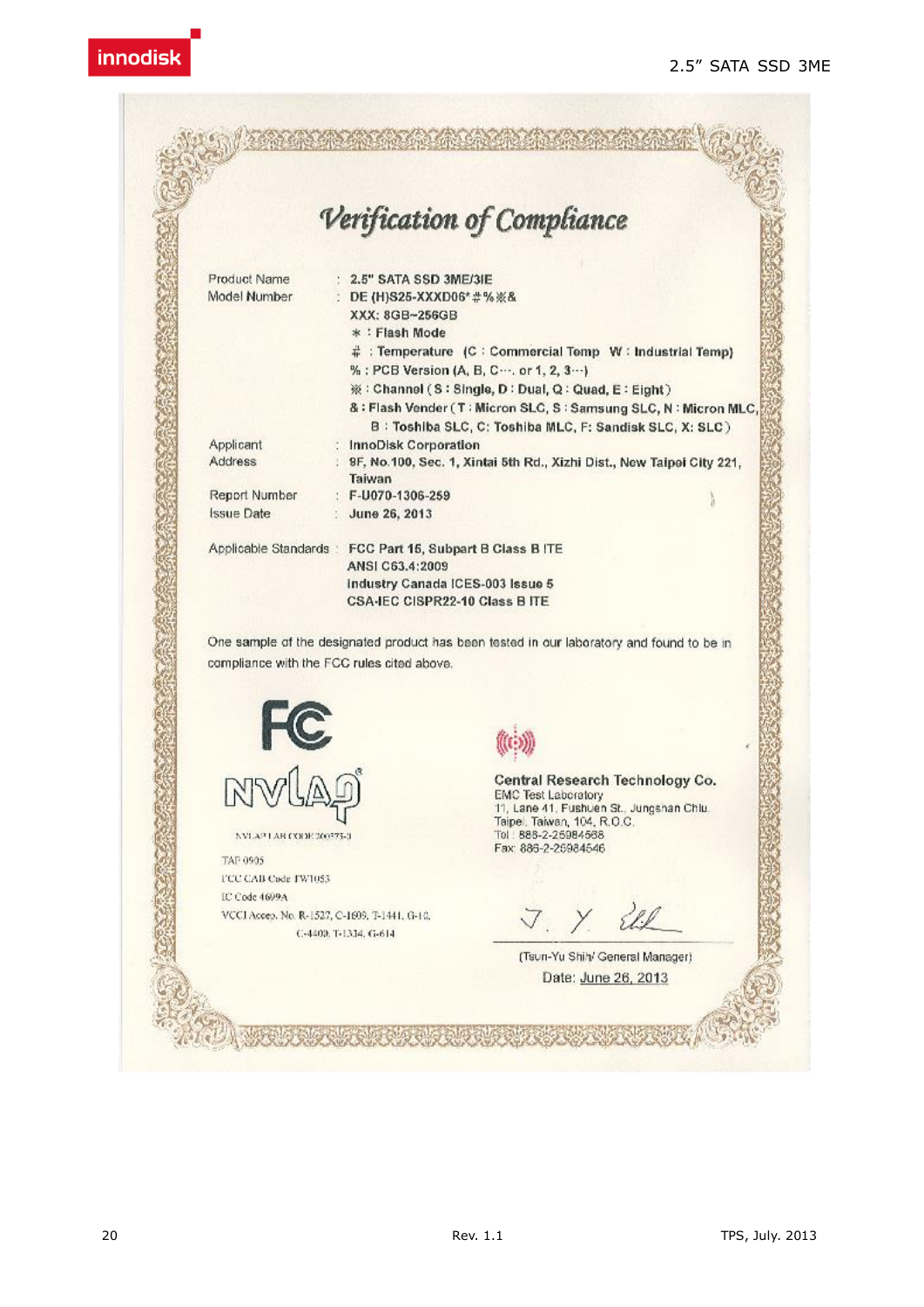

IC Code 4699A VCCI Accep, No. R-1527, C-1609, T-1441, G-10, C-4400, T-1334, G-614

J. Y.

(Tsun-Yu Shih/ General Manager) Date: June 26, 2013